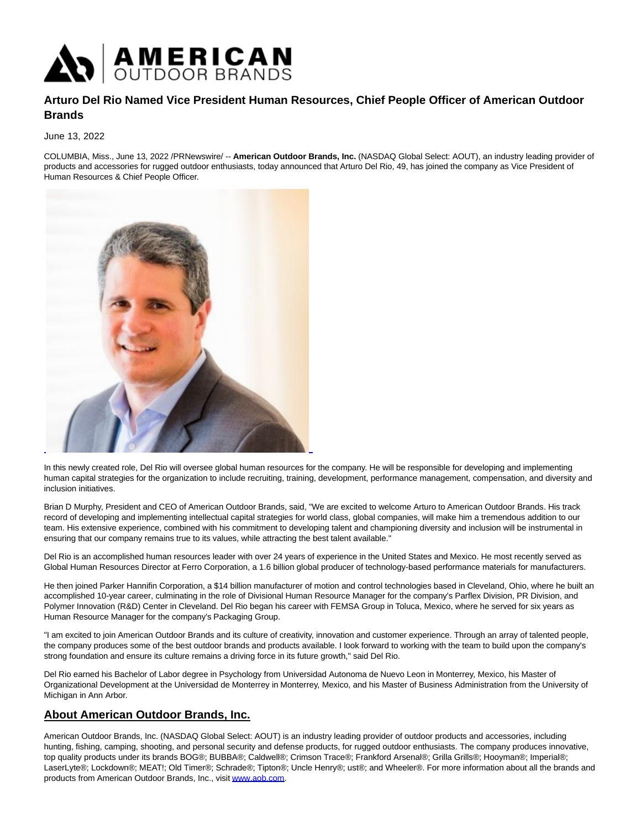

## **Arturo Del Rio Named Vice President Human Resources, Chief People Officer of American Outdoor Brands**

## June 13, 2022

COLUMBIA, Miss., June 13, 2022 /PRNewswire/ -- **American Outdoor Brands, Inc.** (NASDAQ Global Select: AOUT), an industry leading provider of products and accessories for rugged outdoor enthusiasts, today announced that Arturo Del Rio, 49, has joined the company as Vice President of Human Resources & Chief People Officer.



In this newly created role, Del Rio will oversee global human resources for the company. He will be responsible for developing and implementing human capital strategies for the organization to include recruiting, training, development, performance management, compensation, and diversity and inclusion initiatives.

Brian D Murphy, President and CEO of American Outdoor Brands, said, "We are excited to welcome Arturo to American Outdoor Brands. His track record of developing and implementing intellectual capital strategies for world class, global companies, will make him a tremendous addition to our team. His extensive experience, combined with his commitment to developing talent and championing diversity and inclusion will be instrumental in ensuring that our company remains true to its values, while attracting the best talent available."

Del Rio is an accomplished human resources leader with over 24 years of experience in the United States and Mexico. He most recently served as Global Human Resources Director at Ferro Corporation, a 1.6 billion global producer of technology-based performance materials for manufacturers.

He then joined Parker Hannifin Corporation, a \$14 billion manufacturer of motion and control technologies based in Cleveland, Ohio, where he built an accomplished 10-year career, culminating in the role of Divisional Human Resource Manager for the company's Parflex Division, PR Division, and Polymer Innovation (R&D) Center in Cleveland. Del Rio began his career with FEMSA Group in Toluca, Mexico, where he served for six years as Human Resource Manager for the company's Packaging Group.

"I am excited to join American Outdoor Brands and its culture of creativity, innovation and customer experience. Through an array of talented people, the company produces some of the best outdoor brands and products available. I look forward to working with the team to build upon the company's strong foundation and ensure its culture remains a driving force in its future growth," said Del Rio.

Del Rio earned his Bachelor of Labor degree in Psychology from Universidad Autonoma de Nuevo Leon in Monterrey, Mexico, his Master of Organizational Development at the Universidad de Monterrey in Monterrey, Mexico, and his Master of Business Administration from the University of Michigan in Ann Arbor.

## **About American Outdoor Brands, Inc.**

American Outdoor Brands, Inc. (NASDAQ Global Select: AOUT) is an industry leading provider of outdoor products and accessories, including hunting, fishing, camping, shooting, and personal security and defense products, for rugged outdoor enthusiasts. The company produces innovative, top quality products under its brands BOG®; BUBBA®; Caldwell®; Crimson Trace®; Frankford Arsenal®; Grilla Grills®; Hooyman®; Imperial®; LaserLyte®; Lockdown®; MEAT!; Old Timer®; Schrade®; Tipton®; Uncle Henry®; ust®; and Wheeler®. For more information about all the brands and products from American Outdoor Brands, Inc., visit [www.aob.com.](https://c212.net/c/link/?t=0&l=en&o=3564609-1&h=2157393542&u=http%3A%2F%2Fwww.aob.com&a=www.aob.com)